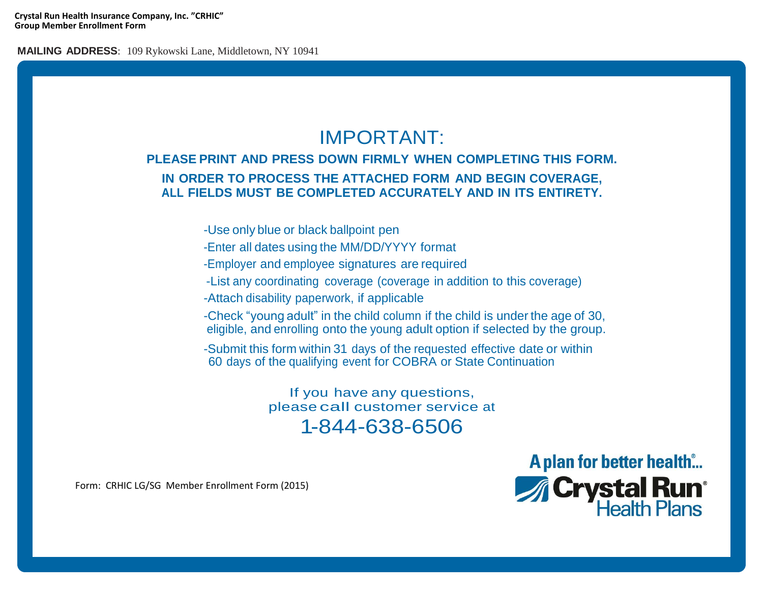**Crystal Run Health Insurance Company, Inc. "CRHIC" Group Member Enrollment Form**

**MAILING ADDRESS**: 109 Rykowski Lane, Middletown, NY 10941

## IMPORTANT:

## **PLEASE PRINT AND PRESS DOWN FIRMLY WHEN COMPLETING THIS FORM. IN ORDER TO PROCESS THE ATTACHED FORM AND BEGIN COVERAGE, ALL FIELDS MUST BE COMPLETED ACCURATELY AND IN ITS ENTIRETY.**

-Use only blue or black ballpoint pen

- -Enter all dates using the MM/DD/YYYY format
- -Employer and employee signatures are required
- -List any coordinating coverage (coverage in addition to this coverage)
- -Attach disability paperwork, if applicable
- -Check "young adult" in the child column if the child is under the age of 30, eligible, and enrolling onto the young adult option if selected by the group.
- -Submit this form within 31 days of the requested effective date or within 60 days of the qualifying event for COBRA or State Continuation

If you have any questions, please call customer service at 1-844-638-6506

> A plan for better health... **A Crystal Run<sup>®</sup>**<br>Health Plans

Form: CRHIC LG/SG Member Enrollment Form (2015)